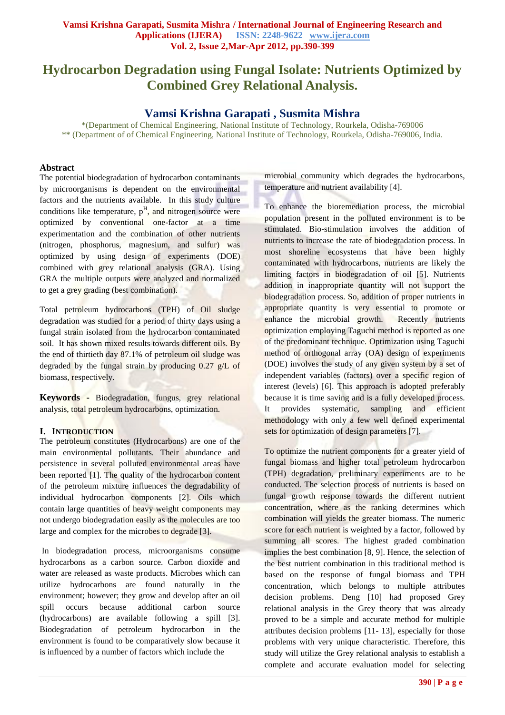# **Hydrocarbon Degradation using Fungal Isolate: Nutrients Optimized by Combined Grey Relational Analysis.**

# **Vamsi Krishna Garapati , Susmita Mishra**

\*(Department of Chemical Engineering, National Institute of Technology, Rourkela, Odisha-769006 \*\* (Department of of Chemical Engineering, National Institute of Technology, Rourkela, Odisha-769006, India.

#### **Abstract**

The potential biodegradation of hydrocarbon contaminants by microorganisms is dependent on the environmental factors and the nutrients available. In this study culture conditions like temperature,  $p<sup>H</sup>$ , and nitrogen source were optimized by conventional one-factor at a time experimentation and the combination of other nutrients (nitrogen, phosphorus, magnesium, and sulfur) was optimized by using design of experiments (DOE) combined with grey relational analysis (GRA). Using GRA the multiple outputs were analyzed and normalized to get a grey grading (best combination).

Total petroleum hydrocarbons (TPH) of Oil sludge degradation was studied for a period of thirty days using a fungal strain isolated from the hydrocarbon contaminated soil. It has shown mixed results towards different oils. By the end of thirtieth day 87.1% of petroleum oil sludge was degraded by the fungal strain by producing 0.27 g/L of biomass, respectively.

**Keywords -** Biodegradation, fungus, grey relational analysis, total petroleum hydrocarbons, optimization.

## **I. INTRODUCTION**

The petroleum constitutes (Hydrocarbons) are one of the main environmental pollutants. Their abundance and persistence in several polluted environmental areas have been reported [1]. The quality of the hydrocarbon content of the petroleum mixture influences the degradability of individual hydrocarbon components [2]. Oils which contain large quantities of heavy weight components may not undergo biodegradation easily as the molecules are too large and complex for the microbes to degrade [3].

In biodegradation process, microorganisms consume hydrocarbons as a carbon source. Carbon dioxide and water are released as waste products. Microbes which can utilize hydrocarbons are found naturally in the environment; however; they grow and develop after an oil spill occurs because additional carbon source (hydrocarbons) are available following a spill [3]. Biodegradation of petroleum hydrocarbon in the environment is found to be comparatively slow because it is influenced by a number of factors which include the

microbial community which degrades the hydrocarbons, temperature and nutrient availability [4].

To enhance the bioremediation process, the microbial population present in the polluted environment is to be stimulated. Bio-stimulation involves the addition of nutrients to increase the rate of biodegradation process. In most shoreline ecosystems that have been highly contaminated with hydrocarbons, nutrients are likely the limiting factors in biodegradation of oil [5]. Nutrients addition in inappropriate quantity will not support the biodegradation process. So, addition of proper nutrients in appropriate quantity is very essential to promote or enhance the microbial growth. Recently nutrients optimization employing Taguchi method is reported as one of the predominant technique. Optimization using Taguchi method of orthogonal array (OA) design of experiments (DOE) involves the study of any given system by a set of independent variables (factors) over a specific region of interest (levels) [6]. This approach is adopted preferably because it is time saving and is a fully developed process. It provides systematic, sampling and efficient methodology with only a few well defined experimental sets for optimization of design parameters [7].

To optimize the nutrient components for a greater yield of fungal biomass and higher total petroleum hydrocarbon (TPH) degradation, preliminary experiments are to be conducted. The selection process of nutrients is based on fungal growth response towards the different nutrient concentration, where as the ranking determines which combination will yields the greater biomass. The numeric score for each nutrient is weighted by a factor, followed by summing all scores. The highest graded combination implies the best combination [8, 9]. Hence, the selection of the best nutrient combination in this traditional method is based on the response of fungal biomass and TPH concentration, which belongs to multiple attributes decision problems. Deng [10] had proposed Grey relational analysis in the Grey theory that was already proved to be a simple and accurate method for multiple attributes decision problems [11- 13], especially for those problems with very unique characteristic. Therefore, this study will utilize the Grey relational analysis to establish a complete and accurate evaluation model for selecting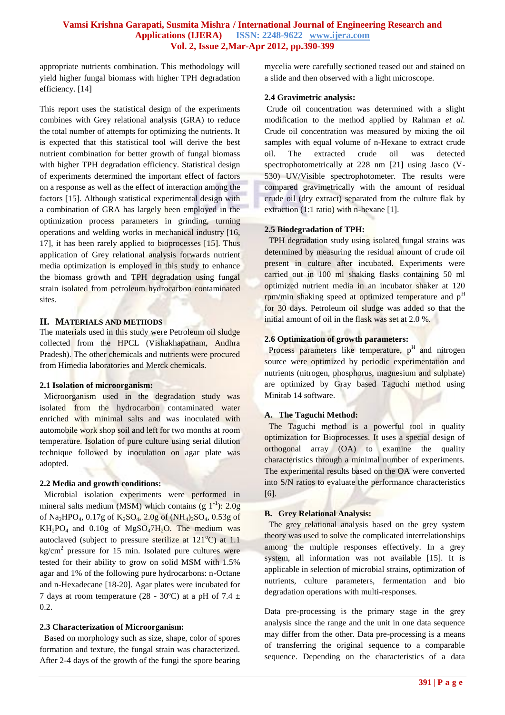appropriate nutrients combination. This methodology will yield higher fungal biomass with higher TPH degradation efficiency. [14]

This report uses the statistical design of the experiments combines with Grey relational analysis (GRA) to reduce the total number of attempts for optimizing the nutrients. It is expected that this statistical tool will derive the best nutrient combination for better growth of fungal biomass with higher TPH degradation efficiency. Statistical design of experiments determined the important effect of factors on a response as well as the effect of interaction among the factors [15]. Although statistical experimental design with a combination of GRA has largely been employed in the optimization process parameters in grinding, turning operations and welding works in mechanical industry [16, 17], it has been rarely applied to bioprocesses [15]. Thus application of Grey relational analysis forwards nutrient media optimization is employed in this study to enhance the biomass growth and TPH degradation using fungal strain isolated from petroleum hydrocarbon contaminated sites.

#### **II. MATERIALS AND METHODS**

The materials used in this study were Petroleum oil sludge collected from the HPCL (Vishakhapatnam, Andhra Pradesh). The other chemicals and nutrients were procured from Himedia laboratories and Merck chemicals.

#### **2.1 Isolation of microorganism:**

 Microorganism used in the degradation study was isolated from the hydrocarbon contaminated water enriched with minimal salts and was inoculated with automobile work shop soil and left for two months at room temperature. Isolation of pure culture using serial dilution technique followed by inoculation on agar plate was adopted.

#### **2.2 Media and growth conditions:**

 Microbial isolation experiments were performed in mineral salts medium (MSM) which contains  $(g 1^{-1})$ : 2.0g of Na<sub>2</sub>HPO<sub>4</sub>, 0.17g of K<sub>2</sub>SO<sub>4</sub>, 2.0g of (NH<sub>4</sub>)<sub>2</sub>SO<sub>4</sub>, 0.53g of  $KH_2PO_4$  and 0.10g of  $MgSO_47H_2O$ . The medium was autoclaved (subject to pressure sterilize at  $121^{\circ}$ C) at 1.1  $\text{kg/cm}^2$  pressure for 15 min. Isolated pure cultures were tested for their ability to grow on solid MSM with 1.5% agar and 1% of the following pure hydrocarbons: n-Octane and n-Hexadecane [18-20]. Agar plates were incubated for 7 days at room temperature (28 - 30°C) at a pH of 7.4  $\pm$ 0.2.

## **2.3 Characterization of Microorganism:**

 Based on morphology such as size, shape, color of spores formation and texture, the fungal strain was characterized. After 2-4 days of the growth of the fungi the spore bearing mycelia were carefully sectioned teased out and stained on a slide and then observed with a light microscope.

## **2.4 Gravimetric analysis:**

Crude oil concentration was determined with a slight modification to the method applied by Rahman *et al.* Crude oil concentration was measured by mixing the oil samples with equal volume of n-Hexane to extract crude oil. The extracted crude oil was detected spectrophotometrically at 228 nm [21] using Jasco (V-530) UV/Visible spectrophotometer. The results were compared gravimetrically with the amount of residual crude oil (dry extract) separated from the culture flak by extraction (1:1 ratio) with n-hexane [1].

## **2.5 Biodegradation of TPH:**

 TPH degradation study using isolated fungal strains was determined by measuring the residual amount of crude oil present in culture after incubated. Experiments were carried out in 100 ml shaking flasks containing 50 ml optimized nutrient media in an incubator shaker at 120 rpm/min shaking speed at optimized temperature and p<sup>H</sup> for 30 days. Petroleum oil sludge was added so that the initial amount of oil in the flask was set at 2.0 %.

# **2.6 Optimization of growth parameters:**

Process parameters like temperature,  $p<sup>H</sup>$  and nitrogen source were optimized by periodic experimentation and nutrients (nitrogen, phosphorus, magnesium and sulphate) are optimized by Gray based Taguchi method using Minitab 14 software.

## **A. The Taguchi Method:**

 The Taguchi method is a powerful tool in quality optimization for Bioprocesses. It uses a special design of orthogonal array (OA) to examine the quality characteristics through a minimal number of experiments. The experimental results based on the OA were converted into S/N ratios to evaluate the performance characteristics [6].

#### **B. Grey Relational Analysis:**

 The grey relational analysis based on the grey system theory was used to solve the complicated interrelationships among the multiple responses effectively. In a grey system, all information was not available [15]. It is applicable in selection of microbial strains, optimization of nutrients, culture parameters, fermentation and bio degradation operations with multi-responses.

Data pre-processing is the primary stage in the grey analysis since the range and the unit in one data sequence may differ from the other. Data pre-processing is a means of transferring the original sequence to a comparable sequence. Depending on the characteristics of a data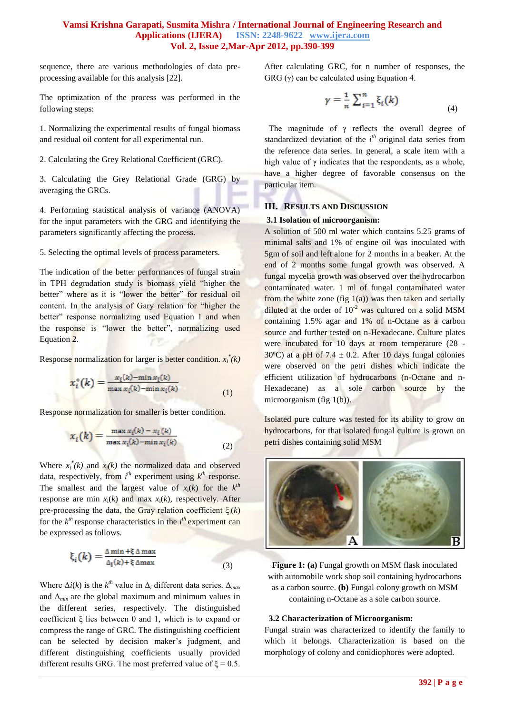sequence, there are various methodologies of data preprocessing available for this analysis [22].

The optimization of the process was performed in the following steps:

1. Normalizing the experimental results of fungal biomass and residual oil content for all experimental run.

2. Calculating the Grey Relational Coefficient (GRC).

3. Calculating the Grey Relational Grade (GRG) by averaging the GRCs.

4. Performing statistical analysis of variance (ANOVA) for the input parameters with the GRG and identifying the parameters significantly affecting the process.

5. Selecting the optimal levels of process parameters.

The indication of the better performances of fungal strain in TPH degradation study is biomass yield "higher the better" where as it is "lower the better" for residual oil content. In the analysis of Gary relation for "higher the better" response normalizing used Equation 1 and when the response is "lower the better", normalizing used Equation 2.

Response normalization for larger is better condition. *x<sup>i</sup> \* (k)*

$$
x_i^*(k) = \frac{x_i(k) - \min x_i(k)}{\max x_i(k) - \min x_i(k)}
$$
(1)

Response normalization for smaller is better condition.

$$
x_i(k) = \frac{\max x_i(k) - x_i(k)}{\max x_i(k) - \min x_i(k)}
$$
(2)

Where  $x_i^*(k)$  and  $x_i(k)$  the normalized data and observed data, respectively, from  $i<sup>th</sup>$  experiment using  $k<sup>th</sup>$  response. The smallest and the largest value of  $x_i(k)$  for the  $k^{th}$ response are min  $x_i(k)$  and max  $x_i(k)$ , respectively. After pre-processing the data, the Gray relation coefficient  $\xi_i(k)$ for the  $k^{th}$  response characteristics in the  $i^{th}$  experiment can be expressed as follows.

$$
\xi_i(k) = \frac{\Delta \min + \xi \Delta \max}{\Delta_i(k) + \xi \Delta \max} \tag{3}
$$

Where  $\Delta i(k)$  is the  $k^{th}$  value in  $\Delta_i$  different data series.  $\Delta_{max}$ and  $\Delta_{min}$  are the global maximum and minimum values in the different series, respectively. The distinguished coefficient ξ lies between 0 and 1, which is to expand or compress the range of GRC. The distinguishing coefficient can be selected by decision maker's judgment, and different distinguishing coefficients usually provided different results GRG. The most preferred value of  $\xi = 0.5$ . After calculating GRC, for n number of responses, the GRG  $(\gamma)$  can be calculated using Equation 4.

$$
\gamma = \frac{1}{n} \sum_{i=1}^{n} \xi_i(k) \tag{4}
$$

The magnitude of  $\gamma$  reflects the overall degree of standardized deviation of the  $i<sup>th</sup>$  original data series from the reference data series. In general, a scale item with a high value of  $\gamma$  indicates that the respondents, as a whole, have a higher degree of favorable consensus on the particular item.

#### **III. RESULTS AND DISCUSSION**

#### **3.1 Isolation of microorganism:**

A solution of 500 ml water which contains 5.25 grams of minimal salts and 1% of engine oil was inoculated with 5gm of soil and left alone for 2 months in a beaker. At the end of 2 months some fungal growth was observed. A fungal mycelia growth was observed over the hydrocarbon contaminated water. 1 ml of fungal contaminated water from the white zone (fig  $1(a)$ ) was then taken and serially diluted at the order of  $10^{-2}$  was cultured on a solid MSM containing 1.5% agar and 1% of n-Octane as a carbon source and further tested on n-Hexadecane. Culture plates were incubated for 10 days at room temperature (28 - 30°C) at a pH of 7.4  $\pm$  0.2. After 10 days fungal colonies were observed on the petri dishes which indicate the efficient utilization of hydrocarbons (n-Octane and n-Hexadecane) as a sole carbon source by the microorganism (fig 1(b)).

Isolated pure culture was tested for its ability to grow on hydrocarbons, for that isolated fungal culture is grown on petri dishes containing solid MSM



**Figure 1: (a)** Fungal growth on MSM flask inoculated with automobile work shop soil containing hydrocarbons as a carbon source. **(b)** Fungal colony growth on MSM containing n-Octane as a sole carbon source.

#### **3.2 Characterization of Microorganism:**

Fungal strain was characterized to identify the family to which it belongs. Characterization is based on the morphology of colony and conidiophores were adopted.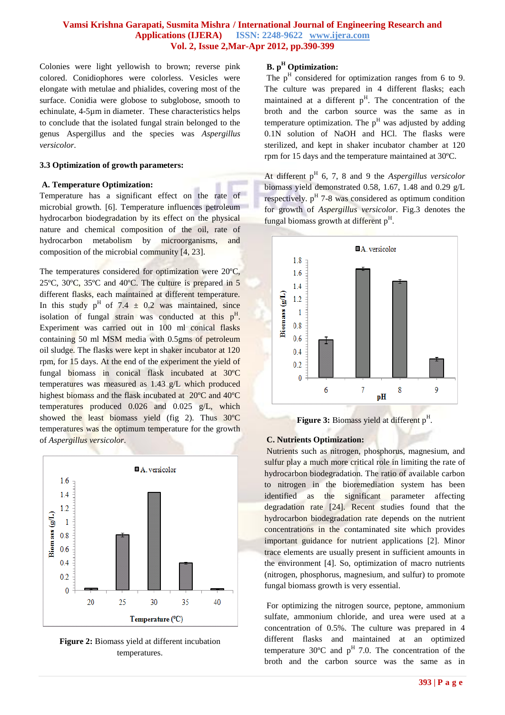Colonies were light yellowish to brown; reverse pink colored. Conidiophores were colorless. Vesicles were elongate with metulae and phialides, covering most of the surface. Conidia were globose to subglobose, smooth to echinulate, 4-5µm in diameter. These characteristics helps to conclude that the isolated fungal strain belonged to the genus Aspergillus and the species was *Aspergillus versicolor*.

#### **3.3 Optimization of growth parameters:**

#### **A. Temperature Optimization:**

Temperature has a significant effect on the rate of microbial growth. [6]. Temperature influences petroleum hydrocarbon biodegradation by its effect on the physical nature and chemical composition of the oil, rate of hydrocarbon metabolism by microorganisms, and composition of the microbial community [4, 23].

The temperatures considered for optimization were 20ºC, 25ºC, 30ºC, 35ºC and 40ºC. The culture is prepared in 5 different flasks, each maintained at different temperature. In this study  $p^H$  of 7.4  $\pm$  0.2 was maintained, since isolation of fungal strain was conducted at this  $p<sup>H</sup>$ . Experiment was carried out in 100 ml conical flasks containing 50 ml MSM media with 0.5gms of petroleum oil sludge. The flasks were kept in shaker incubator at 120 rpm, for 15 days. At the end of the experiment the yield of fungal biomass in conical flask incubated at 30ºC temperatures was measured as 1.43 g/L which produced highest biomass and the flask incubated at 20ºC and 40ºC temperatures produced 0.026 and 0.025 g/L, which showed the least biomass yield (fig 2). Thus 30ºC temperatures was the optimum temperature for the growth of *Aspergillus versicolor*.



**Figure 2:** Biomass yield at different incubation temperatures.

# **B. p<sup>H</sup> Optimization:**

The  $p<sup>H</sup>$  considered for optimization ranges from 6 to 9. The culture was prepared in 4 different flasks; each maintained at a different  $p<sup>H</sup>$ . The concentration of the broth and the carbon source was the same as in temperature optimization. The  $p<sup>H</sup>$  was adjusted by adding 0.1N solution of NaOH and HCl. The flasks were sterilized, and kept in shaker incubator chamber at 120 rpm for 15 days and the temperature maintained at 30ºC.

At different p<sup>H</sup> 6, 7, 8 and 9 the *Aspergillus versicolor* biomass yield demonstrated 0.58, 1.67, 1.48 and 0.29 g/L respectively.  $p<sup>H</sup>$  7-8 was considered as optimum condition for growth of *Aspergillus versicolor*. Fig.3 denotes the fungal biomass growth at different p<sup>H</sup>.



Figure 3: Biomass yield at different p<sup>H</sup>.

## **C. Nutrients Optimization:**

Nutrients such as nitrogen, phosphorus, magnesium, and sulfur play a much more critical role in limiting the rate of hydrocarbon biodegradation. The ratio of available carbon to nitrogen in the bioremediation system has been identified as the significant parameter affecting degradation rate [24]. Recent studies found that the hydrocarbon biodegradation rate depends on the nutrient concentrations in the contaminated site which provides important guidance for nutrient applications [2]. Minor trace elements are usually present in sufficient amounts in the environment [4]. So, optimization of macro nutrients (nitrogen, phosphorus, magnesium, and sulfur) to promote fungal biomass growth is very essential.

For optimizing the nitrogen source, peptone, ammonium sulfate, ammonium chloride, and urea were used at a concentration of 0.5%. The culture was prepared in 4 different flasks and maintained at an optimized temperature  $30^{\circ}$ C and  $p^{H}$  7.0. The concentration of the broth and the carbon source was the same as in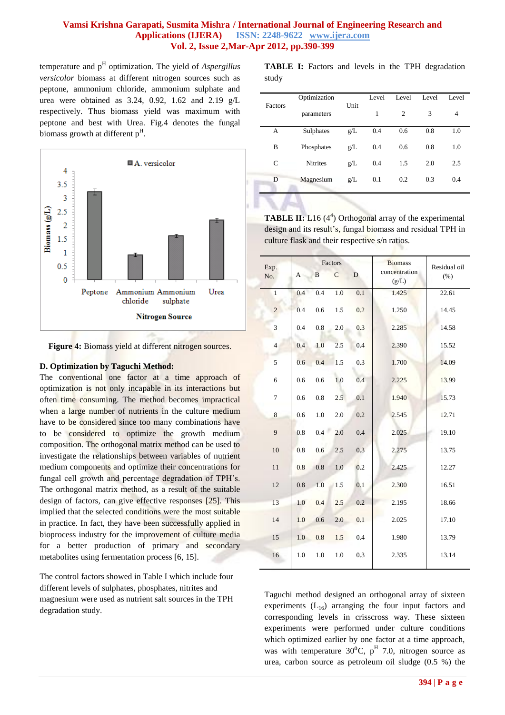temperature and p<sup>H</sup> optimization. The yield of *Aspergillus versicolor* biomass at different nitrogen sources such as peptone, ammonium chloride, ammonium sulphate and urea were obtained as 3.24, 0.92, 1.62 and 2.19 g/L respectively. Thus biomass yield was maximum with peptone and best with Urea. Fig.4 denotes the fungal biomass growth at different  $p<sup>H</sup>$ .



Figure 4: Biomass yield at different nitrogen sources.

#### **D. Optimization by Taguchi Method:**

The conventional one factor at a time approach of optimization is not only incapable in its interactions but often time consuming. The method becomes impractical when a large number of nutrients in the culture medium have to be considered since too many combinations have to be considered to optimize the growth medium composition. The orthogonal matrix method can be used to investigate the relationships between variables of nutrient medium components and optimize their concentrations for fungal cell growth and percentage degradation of TPH's. The orthogonal matrix method, as a result of the suitable design of factors, can give effective responses [25]. This implied that the selected conditions were the most suitable in practice. In fact, they have been successfully applied in bioprocess industry for the improvement of culture media for a better production of primary and secondary metabolites using fermentation process [6, 15].

The control factors showed in Table I which include four different levels of sulphates, phosphates, nitrites and magnesium were used as nutrient salt sources in the TPH degradation study.

**TABLE I:** Factors and levels in the TPH degradation study

|         | Optimization    |      | Level | Level | Level | Level |
|---------|-----------------|------|-------|-------|-------|-------|
| Factors | parameters      | Unit | 1     | 2     | 3     | 4     |
| А       | Sulphates       | g/L  | 0.4   | 0.6   | 0.8   | 1.0   |
| B       | Phosphates      | g/L  | 0.4   | 0.6   | 0.8   | 1.0   |
| C       | <b>Nitrites</b> | g/L  | 0.4   | 1.5   | 2.0   | 2.5   |
| D       | Magnesium       | g/L  | 0.1   | 0.2   | 0.3   | 0.4   |
|         |                 |      |       |       |       |       |

**TABLE II:** L16 (4<sup>4</sup>) Orthogonal array of the experimental design and its result's, fungal biomass and residual TPH in culture flask and their respective s/n ratios.

| Exp.           | Factors |          |                |             | <b>Biomass</b>         | Residual oil |  |
|----------------|---------|----------|----------------|-------------|------------------------|--------------|--|
| No.            | A       | $\bf{B}$ | $\overline{C}$ | $\mathbf D$ | concentration<br>(g/L) | (% )         |  |
| $\mathbf{1}$   | 0.4     | 0.4      | 1.0            | 0.1         | 1.425                  | 22.61        |  |
| $\overline{c}$ | 0.4     | 0.6      | 1.5            | 0.2         | 1.250                  | 14.45        |  |
| 3              | 0.4     | 0.8      | 2.0            | 0.3         | 2.285                  | 14.58        |  |
| $\overline{4}$ | 0.4     | 1.0      | 2.5            | 0.4         | 2.390                  | 15.52        |  |
| 5              | 0.6     | 0.4      | 1.5            | 0.3         | 1.700                  | 14.09        |  |
| 6              | 0.6     | 0.6      | 1.0            | 0.4         | 2.225                  | 13.99        |  |
| 7              | 0.6     | 0.8      | 2.5            | 0.1         | 1.940                  | 15.73        |  |
| 8              | 0.6     | 1.0      | 2.0            | 0.2         | 2.545                  | 12.71        |  |
| 9              | 0.8     | 0.4      | 2.0            | 0.4         | 2.025                  | 19.10        |  |
| 10             | 0.8     | 0.6      | 2.5            | 0.3         | 2.275                  | 13.75        |  |
| 11             | 0.8     | 0.8      | 1.0            | 0.2         | 2.425                  | 12.27        |  |
| 12             | 0.8     | 1.0      | 1.5            | 0.1         | 2.300                  | 16.51        |  |
| 13             | 1.0     | 0.4      | 2.5            | 0.2         | 2.195                  | 18.66        |  |
| 14             | 1.0     | 0.6      | 2.0            | 0.1         | 2.025                  | 17.10        |  |
| 15             | $1.0\,$ | 0.8      | 1.5            | 0.4         | 1.980                  | 13.79        |  |
| 16             | 1.0     | 1.0      | 1.0            | 0.3         | 2.335                  | 13.14        |  |

Taguchi method designed an orthogonal array of sixteen experiments  $(L_{16})$  arranging the four input factors and corresponding levels in crisscross way. These sixteen experiments were performed under culture conditions which optimized earlier by one factor at a time approach, was with temperature  $30^{\circ}$ C, p<sup>H</sup> 7.0, nitrogen source as urea, carbon source as petroleum oil sludge (0.5 %) the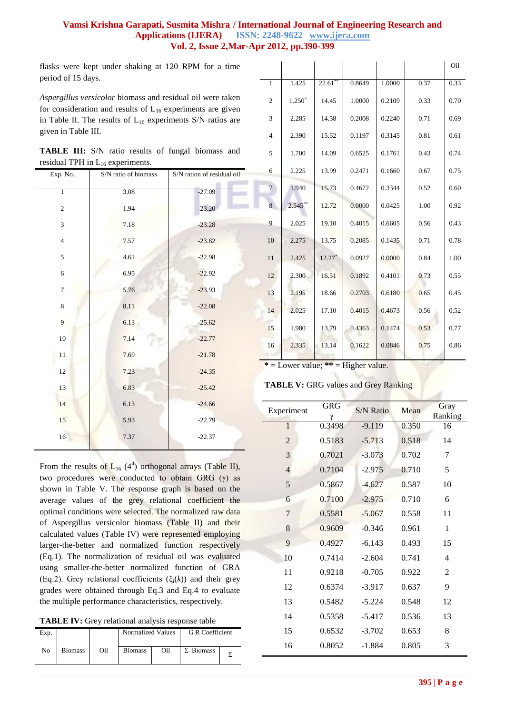flasks were kept under shaking at 120 RPM for a time period of 15 days.

*Aspergillus versicolor* biomass and residual oil were taken for consideration and results of  $L_{16}$  experiments are given in Table II. The results of  $L_{16}$  experiments S/N ratios are given in Table III.

| <b>TABLE III:</b> S/N ratio results of fungal biomass and |  |  |  |  |
|-----------------------------------------------------------|--|--|--|--|
| residual TPH in $L_{16}$ experiments.                     |  |  |  |  |

| Exp. No.       | S/N ratio of biomass | S/N ration of residual oil |  |  |
|----------------|----------------------|----------------------------|--|--|
| $\overline{1}$ | 3.08                 | $-27.09$                   |  |  |
| $\sqrt{2}$     | 1.94                 | $-23.20$                   |  |  |
| 3              | 7.18                 | $-23.28$                   |  |  |
| $\overline{4}$ | 7.57                 | $-23.82$                   |  |  |
| 5              | 4.61                 | $-22.98$                   |  |  |
| $\sqrt{6}$     | 6.95                 | $-22.92$                   |  |  |
| $\tau$         | 5.76                 | $-23.93$                   |  |  |
| $\,8\,$        | 8.11                 | $-22.08$                   |  |  |
| 9              | 6.13                 | $-25.62$                   |  |  |
| $10\,$         | 7.14                 | $-22.77$                   |  |  |
| 11             | 7.69                 | $-21.78$                   |  |  |
| $12\,$         | 7.23                 | $-24.35$                   |  |  |
| $13\,$         | 6.83                 | $-25.42$                   |  |  |
| 14             | 6.13                 | $-24.66$                   |  |  |
| 15             | 5.93                 | $-22.79$                   |  |  |
| 16             | 7.37                 | $-22.37$                   |  |  |
|                |                      |                            |  |  |

From the results of  $L_{16}$  (4<sup>4</sup>) orthogonal arrays (Table II), two procedures were conducted to obtain GRG (γ) as shown in Table V. The response graph is based on the average values of the grey relational coefficient the optimal conditions were selected. The normalized raw data of Aspergillus versicolor biomass (Table II) and their calculated values (Table IV) were represented employing larger-the-better and normalized function respectively (Eq.1). The normalization of residual oil was evaluated using smaller-the-better normalized function of GRA (Eq.2). Grey relational coefficients ( $\xi_i(k)$ ) and their grey grades were obtained through Eq.3 and Eq.4 to evaluate the multiple performance characteristics, respectively.

| TABLE IV: Grey relational analysis response table |
|---------------------------------------------------|
|---------------------------------------------------|

| Exp. |                |     | Normalized Values |     | <b>G</b> R Coefficient |  |
|------|----------------|-----|-------------------|-----|------------------------|--|
| No   | <b>Biomass</b> | Oil | <b>Biomass</b>    | Oil | $\Sigma$ Biomass       |  |

|                |            |            |        |        |      | Oil  |
|----------------|------------|------------|--------|--------|------|------|
| $\mathbf{1}$   | 1.425      | $22.61$ ** | 0.8649 | 1.0000 | 0.37 | 0.33 |
| $\overline{c}$ | $1.250*$   | 14.45      | 1.0000 | 0.2109 | 0.33 | 0.70 |
| 3              | 2.285      | 14.58      | 0.2008 | 0.2240 | 0.71 | 0.69 |
| $\overline{4}$ | 2.390      | 15.52      | 0.1197 | 0.3145 | 0.81 | 0.61 |
| 5              | 1.700      | 14.09      | 0.6525 | 0.1761 | 0.43 | 0.74 |
| 6              | 2.225      | 13.99      | 0.2471 | 0.1660 | 0.67 | 0.75 |
| $\overline{7}$ | 1.940      | 15.73      | 0.4672 | 0.3344 | 0.52 | 0.60 |
| 8              | $2.545$ ** | 12.72      | 0.0000 | 0.0425 | 1.00 | 0.92 |
| 9              | 2.025      | 19.10      | 0.4015 | 0.6605 | 0.56 | 0.43 |
| 10             | 2.275      | 13.75      | 0.2085 | 0.1435 | 0.71 | 0.78 |
| 11             | 2.425      | $12.27*$   | 0.0927 | 0.0000 | 0.84 | 1.00 |
| 12             | 2.300      | 16.51      | 0.1892 | 0.4101 | 0.73 | 0.55 |
| 13             | 2.195      | 18.66      | 0.2703 | 0.6180 | 0.65 | 0.45 |
| 14             | 2.025      | 17.10      | 0.4015 | 0.4673 | 0.56 | 0.52 |
| 15             | 1.980      | 13.79      | 0.4363 | 0.1474 | 0.53 | 0.77 |
| 16             | 2.335      | 13.14      | 0.1622 | 0.0846 | 0.75 | 0.86 |

**\*** = Lower value; **\*\*** = Higher value.

#### **TABLE V:** GRG values and Grey Ranking

| Experiment     | <b>GRG</b> | <b>S/N Ratio</b> | Mean  | Gray<br>Ranking |
|----------------|------------|------------------|-------|-----------------|
| 1              | 0.3498     | $-9.119$         | 0.350 | 16              |
| $\overline{c}$ | 0.5183     | $-5.713$         | 0.518 | 14              |
| 3              | 0.7021     | $-3.073$         | 0.702 | 7               |
| $\overline{4}$ | 0.7104     | $-2.975$         | 0.710 | 5               |
| 5              | 0.5867     | $-4.627$         | 0.587 | 10              |
| 6              | 0.7100     | $-2.975$         | 0.710 | 6               |
| 7              | 0.5581     | $-5.067$         | 0.558 | 11              |
| 8              | 0.9609     | $-0.346$         | 0.961 | 1               |
| 9              | 0.4927     | $-6.143$         | 0.493 | 15              |
| 10             | 0.7414     | $-2.604$         | 0.741 | 4               |
| 11             | 0.9218     | $-0.705$         | 0.922 | $\overline{c}$  |
| 12             | 0.6374     | $-3.917$         | 0.637 | 9               |
| 13             | 0.5482     | $-5.224$         | 0.548 | 12              |
| 14             | 0.5358     | $-5.417$         | 0.536 | 13              |
| 15             | 0.6532     | $-3.702$         | 0.653 | 8               |
| 16             | 0.8052     | $-1.884$         | 0.805 | 3               |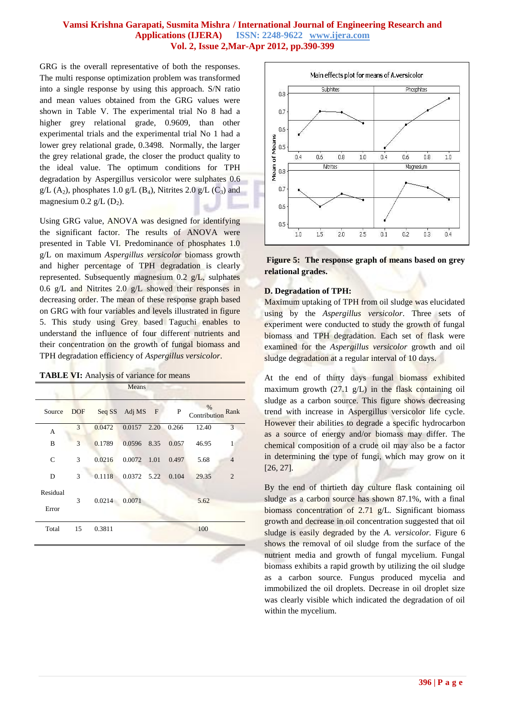GRG is the overall representative of both the responses. The multi response optimization problem was transformed into a single response by using this approach. S/N ratio and mean values obtained from the GRG values were shown in Table V. The experimental trial No 8 had a higher grey relational grade, 0.9609, than other experimental trials and the experimental trial No 1 had a lower grey relational grade, 0.3498. Normally, the larger the grey relational grade, the closer the product quality to the ideal value. The optimum conditions for TPH degradation by Aspergillus versicolor were sulphates 0.6  $g/L$  (A<sub>2</sub>), phosphates 1.0 g/L (B<sub>4</sub>), Nitrites 2.0 g/L (C<sub>3</sub>) and magnesium  $0.2$  g/L  $(D_2)$ .

Using GRG value, ANOVA was designed for identifying the significant factor. The results of ANOVA were presented in Table VI. Predominance of phosphates 1.0 g/L on maximum *Aspergillus versicolor* biomass growth and higher percentage of TPH degradation is clearly represented. Subsequently magnesium 0.2 g/L, sulphates 0.6 g/L and Nitrites 2.0 g/L showed their responses in decreasing order. The mean of these response graph based on GRG with four variables and levels illustrated in figure 5. This study using Grey based Taguchi enables to understand the influence of four different nutrients and their concentration on the growth of fungal biomass and TPH degradation efficiency of *Aspergillus versicolor*.

TABLE VI: Analysis of variance for means

|                   |            |               | Means              |      |       |                      |                |
|-------------------|------------|---------------|--------------------|------|-------|----------------------|----------------|
| Source            | <b>DOF</b> |               | Seq SS Adj MS F    |      | P     | $\%$<br>Contribution | Rank           |
| A                 | 3          | 0.0472        | 0.0157             | 2.20 | 0.266 | 12.40                | 3              |
| B                 | 3          | 0.1789        | 0.0596             | 8.35 | 0.057 | 46.95                | 1              |
| C                 | 3          | 0.0216        | 0.0072             | 1.01 | 0.497 | 5.68                 | $\overline{4}$ |
| D                 | 3          |               | 0.1118 0.0372 5.22 |      | 0.104 | 29.35                | $\overline{2}$ |
| Residual<br>Error | 3          | 0.0214 0.0071 |                    |      |       | 5.62                 |                |
| Total             | 15         | 0.3811        |                    |      |       | 100                  |                |



**Figure 5: The response graph of means based on grey relational grades.**

#### **D. Degradation of TPH:**

Maximum uptaking of TPH from oil sludge was elucidated using by the *Aspergillus versicolor*. Three sets of experiment were conducted to study the growth of fungal biomass and TPH degradation. Each set of flask were examined for the *Aspergillus versicolor* growth and oil sludge degradation at a regular interval of 10 days.

At the end of thirty days fungal biomass exhibited maximum growth (27.1 g/L) in the flask containing oil sludge as a carbon source. This figure shows decreasing trend with increase in Aspergillus versicolor life cycle. However their abilities to degrade a specific hydrocarbon as a source of energy and/or biomass may differ. The chemical composition of a crude oil may also be a factor in determining the type of fungi, which may grow on it [26, 27].

By the end of thirtieth day culture flask containing oil sludge as a carbon source has shown 87.1%, with a final biomass concentration of 2.71 g/L. Significant biomass growth and decrease in oil concentration suggested that oil sludge is easily degraded by the *A. versicolor.* Figure 6 shows the removal of oil sludge from the surface of the nutrient media and growth of fungal mycelium. Fungal biomass exhibits a rapid growth by utilizing the oil sludge as a carbon source. Fungus produced mycelia and immobilized the oil droplets. Decrease in oil droplet size was clearly visible which indicated the degradation of oil within the mycelium.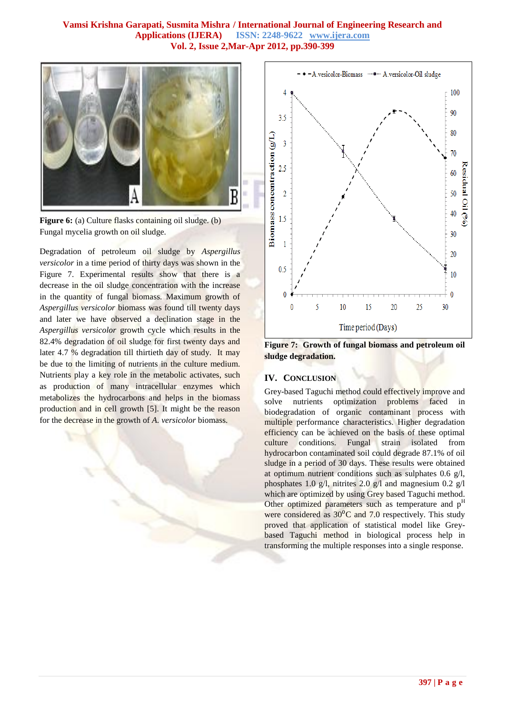

**Figure 6:** (a) Culture flasks containing oil sludge. (b) Fungal mycelia growth on oil sludge.

Degradation of petroleum oil sludge by *Aspergillus versicolor* in a time period of thirty days was shown in the Figure 7. Experimental results show that there is a decrease in the oil sludge concentration with the increase in the quantity of fungal biomass. Maximum growth of *Aspergillus versicolor* biomass was found till twenty days and later we have observed a declination stage in the *Aspergillus versicolor* growth cycle which results in the 82.4% degradation of oil sludge for first twenty days and later 4.7 % degradation till thirtieth day of study. It may be due to the limiting of nutrients in the culture medium. Nutrients play a key role in the metabolic activates, such as production of many intracellular enzymes which metabolizes the hydrocarbons and helps in the biomass production and in cell growth [5]. It might be the reason for the decrease in the growth of *A. versicolor* biomass.



**Figure 7: Growth of fungal biomass and petroleum oil sludge degradation.**

## **IV. CONCLUSION**

Grey-based Taguchi method could effectively improve and solve nutrients optimization problems faced in biodegradation of organic contaminant process with multiple performance characteristics. Higher degradation efficiency can be achieved on the basis of these optimal culture conditions. Fungal strain isolated from hydrocarbon contaminated soil could degrade 87.1% of oil sludge in a period of 30 days. These results were obtained at optimum nutrient conditions such as sulphates 0.6 g/l, phosphates 1.0 g/l, nitrites 2.0 g/l and magnesium 0.2 g/l which are optimized by using Grey based Taguchi method. Other optimized parameters such as temperature and  $p<sup>H</sup>$ were considered as  $30^{\circ}$ C and 7.0 respectively. This study proved that application of statistical model like Greybased Taguchi method in biological process help in transforming the multiple responses into a single response.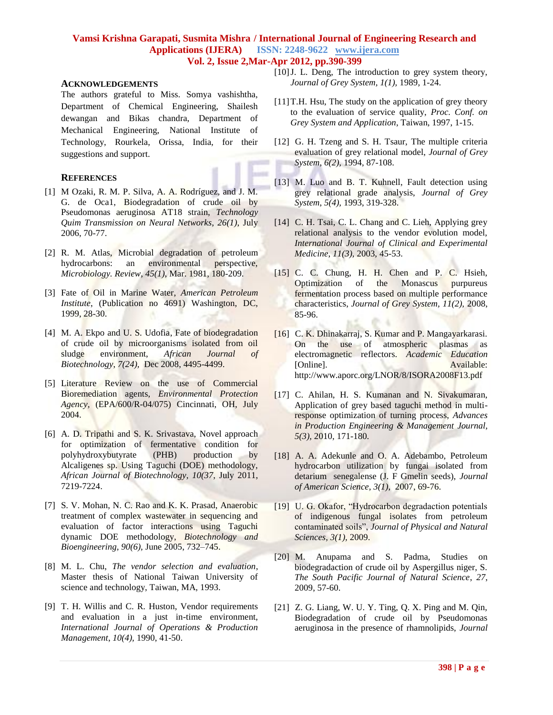#### **ACKNOWLEDGEMENTS**

The authors grateful to Miss. Somya vashishtha, Department of Chemical Engineering, Shailesh dewangan and Bikas chandra, Department of Mechanical Engineering, National Institute of Technology, Rourkela, Orissa, India, for their suggestions and support.

#### **REFERENCES**

- [1] M Ozaki, R. M. P. Silva, A. A. Rodríguez, and J. M. G. de Oca1, Biodegradation of crude oil by Pseudomonas aeruginosa AT18 strain, *Technology Quim Transmission on Neural Networks*, *26(1)*, July 2006, 70-77.
- [2] R. M. Atlas, Microbial degradation of petroleum hydrocarbons: an environmental *Microbiology. Review*, *45(1)*, Mar. 1981, 180-209.
- [3] Fate of Oil in Marine Water, *American Petroleum Institute*, (Publication no 4691) Washington, DC, 1999, 28-30.
- [4] M. A. Ekpo and U. S. Udofia, Fate of biodegradation of crude oil by microorganisms isolated from oil sludge environment, *African Journal of Biotechnology*, *7(24),* Dec 2008, 4495-4499.
- [5] Literature Review on the use of Commercial Bioremediation agents, *Environmental Protection Agency,* (EPA/600/R-04/075) Cincinnati, OH, July 2004.
- [6] A. D. Tripathi and S. K. Srivastava, Novel approach for optimization of fermentative condition for polyhydroxybutyrate (PHB) production by Alcaligenes sp. Using Taguchi (DOE) methodology, *African Journal of Biotechnology, 10(37*, July 2011, 7219-7224.
- [7] S. V. Mohan, N. C. Rao and K. K. Prasad, Anaerobic treatment of complex wastewater in sequencing and evaluation of factor interactions using Taguchi dynamic DOE methodology, *Biotechnology and Bioengineering, 90(6),* June 2005, 732–745.
- [8] M. L. Chu, *The vendor selection and evaluation*, Master thesis of National Taiwan University of science and technology, Taiwan, MA, 1993.
- [9] T. H. Willis and C. R. Huston, Vendor requirements and evaluation in a just in-time environment, *International Journal of Operations & Production Management*, *10(4),* 1990, 41-50.
- [10]J. L. Deng, The introduction to grey system theory, *Journal of Grey System, 1(1),* 1989, 1-24.
- [11]T.H. Hsu, The study on the application of grey theory to the evaluation of service quality, *Proc. Conf. on Grey System and Application*, Taiwan, 1997, 1-15.
- [12] G. H. Tzeng and S. H. Tsaur, The multiple criteria evaluation of grey relational model, *Journal of Grey System*, *6(2),* 1994, 87-108.
- [13] M. Luo and B. T. Kuhnell, Fault detection using grey relational grade analysis, *Journal of Grey System*, *5(4),* 1993, 319-328.
- [14] C. H. Tsai, C. L. Chang and C. Lieh, Applying grey relational analysis to the vendor evolution model, *International Journal of Clinical and Experimental Medicine*, *11(3),* 2003, 45-53.
- [15] C. C. Chung, H. H. Chen and P. C. Hsieh, Optimization of the Monascus purpureus fermentation process based on multiple performance characteristics, *Journal of Grey System, 11(2),* 2008, 85-96.
- [16] C. K. Dhinakarraj, S. Kumar and P. Mangayarkarasi. On the use of atmospheric plasmas as electromagnetic reflectors. *Academic Education* [Online]. Available: http://www.aporc.org/LNOR/8/ISORA2008F13.pdf
- [17] C. Ahilan, H. S. Kumanan and N. Sivakumaran, Application of grey based taguchi method in multiresponse optimization of turning process, *Advances in Production Engineering & Management Journal, 5(3),* 2010, 171-180.
- [18] A. A. Adekunle and O. A. Adebambo, Petroleum hydrocarbon utilization by fungai isolated from detarium senegalense (J. F Gmelin seeds), *Journal of American Science, 3(1),* 2007, 69-76.
- [19] U. G. Okafor, "Hydrocarbon degradaction potentials of indigenous fungal isolates from petroleum contaminated soils", *Journal of Physical and Natural Sciences, 3(1),* 2009.
- [20] M. Anupama and S. Padma, Studies on biodegradaction of crude oil by Aspergillus niger, S. *The South Pacific Journal of Natural Science*, *27*, 2009, 57-60.
- [21] Z. G. Liang, W. U. Y. Ting, O. X. Ping and M. Oin, Biodegradation of crude oil by Pseudomonas aeruginosa in the presence of rhamnolipids, *Journal*